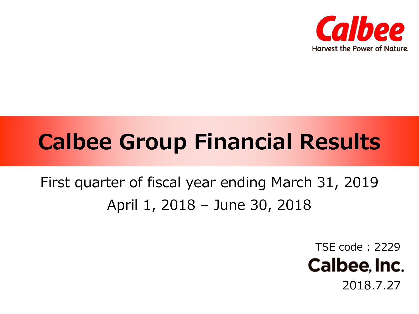

# **Calbee Group Financial Results**

## First quarter of fiscal year ending March 31, 2019 April 1, 2018 – June 30, 2018

TSE code : 2229 Calbee, Inc.

2018.7.27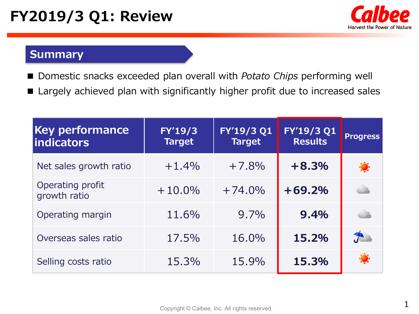### **FY2019/3 Q1: Review**



#### **Summary**

- Domestic snacks exceeded plan overall with *Potato Chips* performing well
- Largely achieved plan with significantly higher profit due to increased sales

| <b>Key performance</b><br><b>lindicators</b> | FY'19/3<br><b>Target</b> | FY'19/3 Q1<br><b>Target</b> | FY'19/3 Q1<br><b>Results</b> | <b>Progress</b> |
|----------------------------------------------|--------------------------|-----------------------------|------------------------------|-----------------|
| Net sales growth ratio                       | $+1.4%$                  | $+7.8%$                     | $+8.3%$                      |                 |
| Operating profit<br>growth ratio             | $+10.0\%$                | $+74.0%$                    | $+69.2%$                     | O               |
| Operating margin                             | 11.6%                    | 9.7%                        | 9.4%                         |                 |
| Overseas sales ratio                         | 17.5%                    | 16.0%                       | 15.2%                        | $J^{\perp}$     |
| Selling costs ratio                          | 15.3%                    | 15.9%                       | 15.3%                        |                 |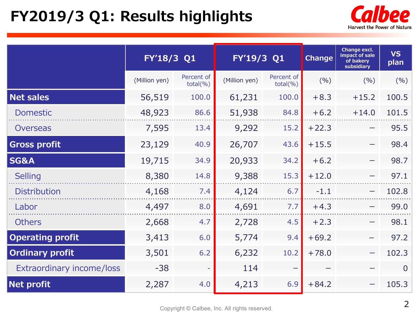### **FY2019/3 Q1: Results highlights**



|                                  | FY'18/3 Q1    |                            | FY'19/3 Q1    |                            | Change excl.<br>impact of sale<br><b>Change</b><br>of bakery<br>subsidiary |         | <b>VS</b><br>plan |
|----------------------------------|---------------|----------------------------|---------------|----------------------------|----------------------------------------------------------------------------|---------|-------------------|
|                                  | (Million yen) | Percent of<br>$total(\% )$ | (Million yen) | Percent of<br>$total(\% )$ | (%)                                                                        | (%)     | (%)               |
| <b>Net sales</b>                 | 56,519        | 100.0                      | 61,231        | 100.0                      | $+8.3$                                                                     | $+15.2$ | 100.5             |
| <b>Domestic</b>                  | 48,923        | 86.6                       | 51,938        | 84.8                       | $+6.2$                                                                     | $+14.0$ | 101.5             |
| Overseas                         | 7,595         | 13.4                       | 9,292         | 15.2                       | $+22.3$                                                                    |         | 95.5              |
| <b>Gross profit</b>              | 23,129        | 40.9                       | 26,707        | 43.6                       | $+15.5$                                                                    |         | 98.4              |
| <b>SG&amp;A</b>                  | 19,715        | 34.9                       | 20,933        | 34.2                       | $+6.2$                                                                     |         | 98.7              |
| <b>Selling</b>                   | 8,380         | 14.8                       | 9,388         | 15.3                       | $+12.0$                                                                    |         | 97.1              |
| <b>Distribution</b>              | 4,168         | 7.4                        | 4,124         | 6.7                        | $-1.1$                                                                     | —       | 102.8             |
| Labor                            | 4,497         | 8.0                        | 4,691         | 7.7                        | $+4.3$                                                                     |         | 99.0              |
| <b>Others</b>                    | 2,668         | 4.7                        | 2,728         | 4.5                        | $+2.3$                                                                     |         | 98.1              |
| <b>Operating profit</b>          | 3,413         | 6.0                        | 5,774         | 9.4                        | $+69.2$                                                                    |         | 97.2              |
| <b>Ordinary profit</b>           | 3,501         | 6.2                        | 6,232         | 10.2                       | $+78.0$                                                                    |         | 102.3             |
| <b>Extraordinary income/loss</b> | $-38$         |                            | 114           |                            |                                                                            |         | $\overline{0}$    |
| <b>Net profit</b>                | 2,287         | 4.0                        | 4,213         | 6.9                        | $+84.2$                                                                    |         | 105.3             |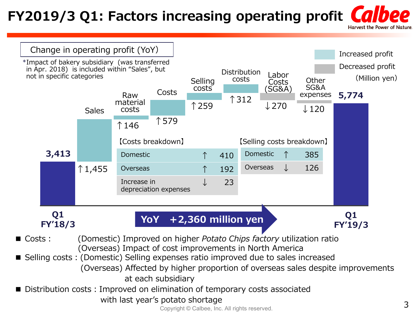### **FY2019/3 Q1: Factors increasing operating profit**

Harvest the Power of Nature.

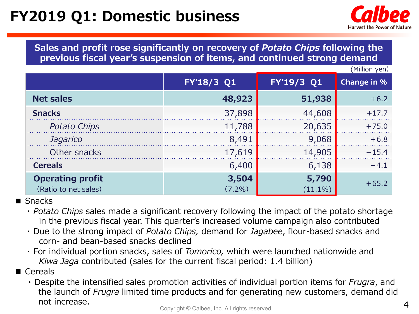### **FY2019 Q1: Domestic business**



 $(Million$  yon)

**Sales and profit rose significantly on recovery of** *Potato Chips* **following the previous fiscal year's suspension of items, and continued strong demand** 

| <i>U'</i> IIIIUII yeri <i>y</i>                 |                    |                     |                    |  |
|-------------------------------------------------|--------------------|---------------------|--------------------|--|
|                                                 | FY'18/3 Q1         | FY'19/3 Q1          | <b>Change in %</b> |  |
| <b>Net sales</b>                                | 48,923             | 51,938              | $+6.2$             |  |
| <b>Snacks</b>                                   | 37,898             | 44,608              | $+17.7$            |  |
| <b>Potato Chips</b>                             | 11,788             | 20,635              | $+75.0$            |  |
| Jagarico                                        | 8,491              | 9,068               | $+6.8$             |  |
| Other snacks                                    | 17,619             | 14,905              | $-15.4$            |  |
| <b>Cereals</b>                                  | 6,400              | 6,138               | $-4.1$             |  |
| <b>Operating profit</b><br>(Ratio to net sales) | 3,504<br>$(7.2\%)$ | 5,790<br>$(11.1\%)$ | $+65.2$            |  |

- Snacks
	- ・ *Potato Chips* sales made a significant recovery following the impact of the potato shortage in the previous fiscal year. This quarter's increased volume campaign also contributed
	- ・ Due to the strong impact of *Potato Chips,* demand for *Jagabee*, flour-based snacks and corn- and bean-based snacks declined
	- ・ For individual portion snacks, sales of *Tomorico,* which were launched nationwide and *Kiwa Jaga* contributed (sales for the current fiscal period: 1.4 billion)
- Cereals
	- ・ Despite the intensified sales promotion activities of individual portion items for *Frugra*, and the launch of *Frugra* limited time products and for generating new customers, demand did not increase.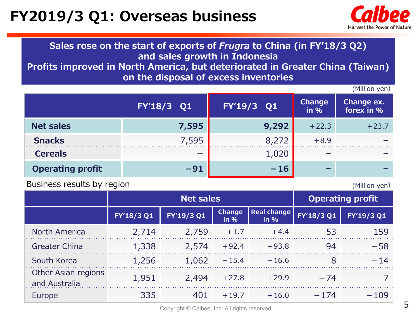### **FY2019/3 Q1: Overseas business**



**Sales rose on the start of exports of** *Frugra* **to China (in FY'18/3 Q2) and sales growth in Indonesia**

**Profits improved in North America, but deteriorated in Greater China (Taiwan) on the disposal of excess inventories**

|                         | FY'18/3 Q1               | FY'19/3 Q1 | <b>Change</b><br>in % | Change ex.<br>forex in % |
|-------------------------|--------------------------|------------|-----------------------|--------------------------|
| <b>Net sales</b>        | 7,595                    | 9,292      | $+22.3$               | $+23.7$                  |
| <b>Snacks</b>           | 7,595                    | 8,272      | $+8.9$                |                          |
| <b>Cereals</b>          | $\overline{\phantom{0}}$ | 1,020      |                       |                          |
| <b>Operating profit</b> | $-91$                    | $-16$      |                       |                          |

#### Business results by region

(Million yen)

(Million yen)

|                                      | <b>Net sales</b> |            |                       |                              | <b>Operating profit</b> |            |
|--------------------------------------|------------------|------------|-----------------------|------------------------------|-------------------------|------------|
|                                      | FY'18/3 Q1       | FY'19/3 Q1 | <b>Change</b><br>in % | <b>Real change</b><br>in $%$ | FY'18/3 Q1              | FY'19/3 Q1 |
| North America                        | 2,714            | 2,759      | $+1.7$                | $+4.4$                       | 53                      | 159        |
| <b>Greater China</b>                 | 1,338            | 2,574      | $+92.4$               | $+93.8$                      | 94                      | $-58$      |
| South Korea                          | 1,256            | 1,062      | $-15.4$               | $-16.6$                      | 8                       | $-14$      |
| Other Asian regions<br>and Australia | 1,951            | 2,494      | $+27.8$               | $+29.9$                      | $-74$                   |            |
| Europe                               | 335              | 401        | $+19.7$               | $+16.0$                      | $-174$                  | $-109$     |

Copyright © Calbee, Inc. All rights reserved.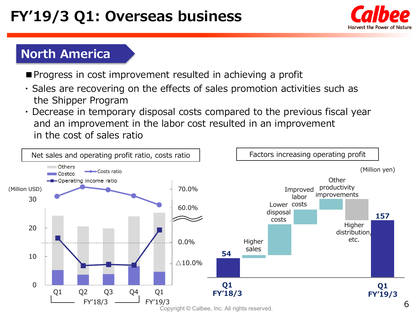### **FY'19/3 Q1: Overseas business**



#### **North America**

■Progress in cost improvement resulted in achieving a profit

- ・ Sales are recovering on the effects of sales promotion activities such as the Shipper Program
- ・ Decrease in temporary disposal costs compared to the previous fiscal year and an improvement in the labor cost resulted in an improvement in the cost of sales ratio

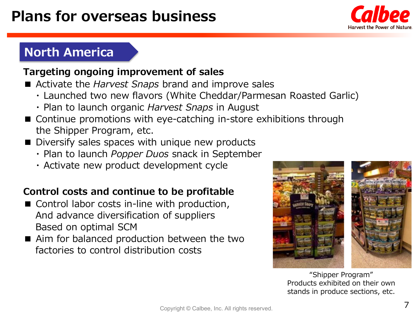### **Plans for overseas business**



#### **North America**

#### **Targeting ongoing improvement of sales**

- Activate the *Harvest Snaps* brand and improve sales
	- ・ Launched two new flavors (White Cheddar/Parmesan Roasted Garlic)
	- ・ Plan to launch organic *Harvest Snaps* in August
- Continue promotions with eye-catching in-store exhibitions through the Shipper Program, etc.
- Diversify sales spaces with unique new products
	- ・ Plan to launch *Popper Duos* snack in September
	- ・ Activate new product development cycle

#### **Control costs and continue to be profitable**

- Control labor costs in-line with production, And advance diversification of suppliers Based on optimal SCM
- Aim for balanced production between the two factories to control distribution costs



"Shipper Program" Products exhibited on their own stands in produce sections, etc.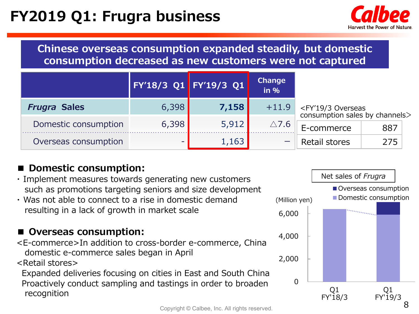### **FY2019 Q1: Frugra business**



#### **Chinese overseas consumption expanded steadily, but domestic consumption decreased as new customers were not captured**

|                      |       | FY'18/3 Q1 FY'19/3 Q1 | Change<br>in $%$ |                                                                      |     |
|----------------------|-------|-----------------------|------------------|----------------------------------------------------------------------|-----|
| <b>Frugra Sales</b>  | 6,398 | 7,158                 | $+11.9$          | <fy'19 3="" overseas<br="">consumption sales by channels&gt;</fy'19> |     |
| Domestic consumption | 6,398 | 5,912                 | $\triangle$ 7.6  | E-commerce                                                           | 887 |
| Overseas consumption |       | 1,163                 |                  | Retail stores                                                        | 275 |

#### ■ **Domestic consumption:**

- ・ Implement measures towards generating new customers such as promotions targeting seniors and size development
- ・ Was not able to connect to a rise in domestic demand resulting in a lack of growth in market scale

#### ■ **Overseas consumption:**

<E-commerce>In addition to cross-border e-commerce, China domestic e-commerce sales began in April

<Retail stores>

Expanded deliveries focusing on cities in East and South China Proactively conduct sampling and tastings in order to broaden recognition

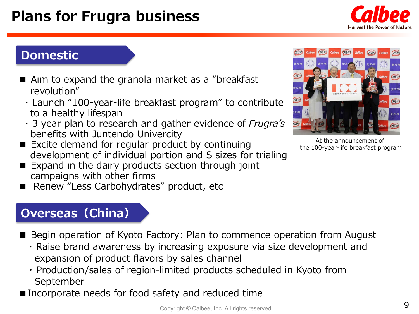### **Plans for Frugra business**



#### **Domestic**

- Aim to expand the granola market as a "breakfast" revolution"
	- ・ Launch "100-year-life breakfast program" to contribute to a healthy lifespan
	- ・ 3 year plan to research and gather evidence of *Frugra's* benefits with Juntendo Univercity
- Excite demand for regular product by continuing development of individual portion and S sizes for trialing
- Expand in the dairy products section through joint campaigns with other firms
- Renew "Less Carbohydrates" product, etc.

### **Overseas(China)**

- Begin operation of Kyoto Factory: Plan to commence operation from August
	- ・ Raise brand awareness by increasing exposure via size development and expansion of product flavors by sales channel
	- ・ Production/sales of region-limited products scheduled in Kyoto from September
- ■Incorporate needs for food safety and reduced time



At the announcement of the 100-year-life breakfast program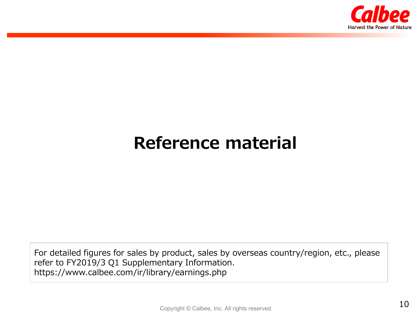

### **Reference material**

For detailed figures for sales by product, sales by overseas country/region, etc., please refer to FY2019/3 Q1 Supplementary Information. https://www.calbee.com/ir/library/earnings.php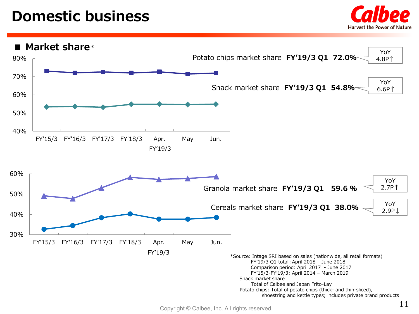### **Domestic business**





Copyright © Calbee, Inc. All rights reserved.